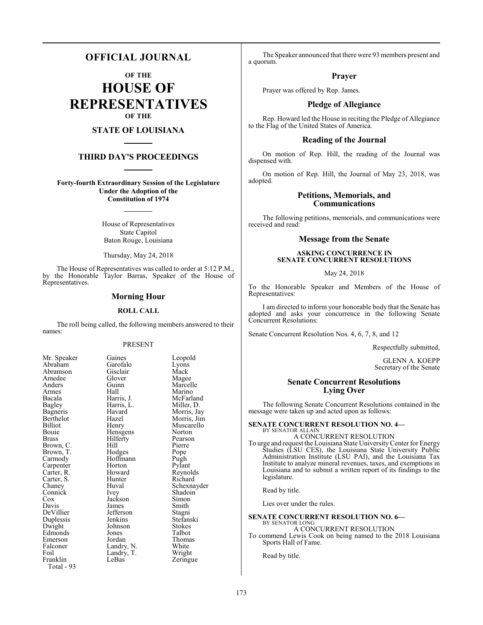## **OFFICIAL JOURNAL**

**OF THE**

**HOUSE OF REPRESENTATIVES OF THE**

## **STATE OF LOUISIANA**

### **THIRD DAY'S PROCEEDINGS**

**Forty-fourth Extraordinary Session of the Legislature Under the Adoption of the Constitution of 1974**

> House of Representatives State Capitol Baton Rouge, Louisiana

Thursday, May 24, 2018

The House of Representatives was called to order at 5:12 P.M., by the Honorable Taylor Barras, Speaker of the House of Representatives.

#### **Morning Hour**

#### **ROLL CALL**

The roll being called, the following members answered to their names:

#### PRESENT

| Mr. Speaker | Gaines      | Leopold     |
|-------------|-------------|-------------|
| Abraham     | Garofalo    | Lyons       |
| Abramson    | Gisclair    | Mack        |
| Amedee      | Glover      | Magee       |
| Anders      | Guinn       | Marcelle    |
| Armes       | Hall        | Marino      |
| Bacala      | Harris, J.  | McFarland   |
| Bagley      | Harris, L.  | Miller, D.  |
| Bagneris    | Havard      | Morris, Jay |
| Berthelot   | Hazel       | Morris, Jim |
| Billiot     | Henry       | Muscarello  |
| Bouie       | Hensgens    | Norton      |
| Brass       | Hilferty    | Pearson     |
| Brown, C.   | Hill        | Pierre      |
| Brown, T.   | Hodges      | Pope        |
| Carmody     | Hoffmann    | Pugh        |
| Carpenter   | Horton      | Pylant      |
| Carter, R.  | Howard      | Reynolds    |
| Carter, S.  | Hunter      | Richard     |
| Chaney      | Huval       | Schexnayder |
| Connick     | <i>lvey</i> | Shadoin     |
| Cox         | Jackson     | Simon       |
| Davis       | James       | Smith       |
| DeVillier   | Jefferson   | Stagni      |
| Duplessis   | Jenkins     | Stefanski   |
| Dwight      | Johnson     | Stokes      |
| Edmonds     | Jones       | Talbot      |
| Emerson     | Jordan      | Thomas      |
| Falconer    | Landry, N.  | White       |
| Foil        | Landry, T.  | Wright      |
| Franklin    | LeBas       | Zeringue    |
| Total - 93  |             |             |

The Speaker announced that there were 93 members present and a quorum.

#### **Prayer**

Prayer was offered by Rep. James.

## **Pledge of Allegiance**

Rep. Howard led the House in reciting the Pledge of Allegiance to the Flag of the United States of America.

#### **Reading of the Journal**

On motion of Rep. Hill, the reading of the Journal was dispensed with.

On motion of Rep. Hill, the Journal of May 23, 2018, was adopted.

#### **Petitions, Memorials, and Communications**

The following petitions, memorials, and communications were received and read:

#### **Message from the Senate**

#### **ASKING CONCURRENCE IN SENATE CONCURRENT RESOLUTIONS**

May 24, 2018

To the Honorable Speaker and Members of the House of Representatives:

I am directed to inform your honorable body that the Senate has adopted and asks your concurrence in the following Senate Concurrent Resolutions:

Senate Concurrent Resolution Nos. 4, 6, 7, 8, and 12

Respectfully submitted,

GLENN A. KOEPP Secretary of the Senate

#### **Senate Concurrent Resolutions Lying Over**

The following Senate Concurrent Resolutions contained in the message were taken up and acted upon as follows:

## **SENATE CONCURRENT RESOLUTION NO. 4—** BY SENATOR ALLAIN A CONCURRENT RESOLUTION

To urge and request the Louisiana State UniversityCenter for Energy Studies (LSU CES), the Louisiana State University Public Administration Institute (LSU PAI), and the Louisiana Tax Institute to analyze mineral revenues, taxes, and exemptions in

Louisiana and to submit a written report of its findings to the legislature.

Read by title.

Lies over under the rules.

#### **SENATE CONCURRENT RESOLUTION NO. 6—** BY SENATOR LONG

A CONCURRENT RESOLUTION

To commend Lewis Cook on being named to the 2018 Louisiana Sports Hall of Fame.

Read by title.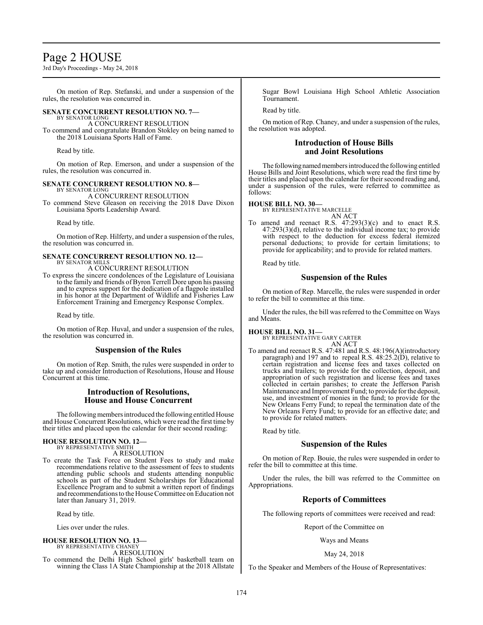# Page 2 HOUSE

3rd Day's Proceedings - May 24, 2018

On motion of Rep. Stefanski, and under a suspension of the rules, the resolution was concurred in.

### **SENATE CONCURRENT RESOLUTION NO. 7—**

BY SENATOR LONG A CONCURRENT RESOLUTION

To commend and congratulate Brandon Stokley on being named to the 2018 Louisiana Sports Hall of Fame.

Read by title.

On motion of Rep. Emerson, and under a suspension of the rules, the resolution was concurred in.

#### **SENATE CONCURRENT RESOLUTION NO. 8—**

BY SENATOR LONG A CONCURRENT RESOLUTION

To commend Steve Gleason on receiving the 2018 Dave Dixon Louisiana Sports Leadership Award.

Read by title.

On motion ofRep. Hilferty, and under a suspension of the rules, the resolution was concurred in.

#### **SENATE CONCURRENT RESOLUTION NO. 12—** BY SENATOR MILLS

A CONCURRENT RESOLUTION

To express the sincere condolences of the Legislature of Louisiana to the family and friends of Byron Terrell Dore upon his passing and to express support for the dedication of a flagpole installed in his honor at the Department of Wildlife and Fisheries Law Enforcement Training and Emergency Response Complex.

Read by title.

On motion of Rep. Huval, and under a suspension of the rules, the resolution was concurred in.

## **Suspension of the Rules**

On motion of Rep. Smith, the rules were suspended in order to take up and consider Introduction of Resolutions, House and House Concurrent at this time.

#### **Introduction of Resolutions, House and House Concurrent**

The following members introduced the following entitled House and House Concurrent Resolutions, which were read the first time by their titles and placed upon the calendar for their second reading:

#### **HOUSE RESOLUTION NO. 12—** BY REPRESENTATIVE SMITH

A RESOLUTION

To create the Task Force on Student Fees to study and make recommendations relative to the assessment of fees to students attending public schools and students attending nonpublic schools as part of the Student Scholarships for Educational Excellence Program and to submit a written report of findings and recommendations to the House Committee on Education not later than January 31, 2019.

Read by title.

Lies over under the rules.

## **HOUSE RESOLUTION NO. 13—**

BY REPRESENTATIVE CHANEY A RESOLUTION

To commend the Delhi High School girls' basketball team on winning the Class 1A State Championship at the 2018 Allstate Sugar Bowl Louisiana High School Athletic Association **Tournament** 

Read by title.

On motion of Rep. Chaney, and under a suspension of the rules, the resolution was adopted.

## **Introduction of House Bills and Joint Resolutions**

The following named members introduced the following entitled House Bills and Joint Resolutions, which were read the first time by their titles and placed upon the calendar for their second reading and, under a suspension of the rules, were referred to committee as follows:

#### **HOUSE BILL NO. 30—**

BY REPRESENTATIVE MARCELLE AN ACT

To amend and reenact R.S. 47:293(3)(c) and to enact R.S. 47:293(3)(d), relative to the individual income tax; to provide with respect to the deduction for excess federal itemized personal deductions; to provide for certain limitations; to provide for applicability; and to provide for related matters.

Read by title.

## **Suspension of the Rules**

On motion of Rep. Marcelle, the rules were suspended in order to refer the bill to committee at this time.

Under the rules, the bill was referred to the Committee on Ways and Means.

## **HOUSE BILL NO. 31—**

BY REPRESENTATIVE GARY CARTER AN ACT

To amend and reenact R.S. 47:481 and R.S. 48:196(A)(introductory paragraph) and 197 and to repeal R.S.  $48:25.2(D)$ , relative to certain registration and license fees and taxes collected on trucks and trailers; to provide for the collection, deposit, and appropriation of such registration and license fees and taxes collected in certain parishes; to create the Jefferson Parish Maintenance and Improvement Fund; to provide for the deposit, use, and investment of monies in the fund; to provide for the New Orleans Ferry Fund; to repeal the termination date of the New Orleans Ferry Fund; to provide for an effective date; and to provide for related matters.

Read by title.

## **Suspension of the Rules**

On motion of Rep. Bouie, the rules were suspended in order to refer the bill to committee at this time.

Under the rules, the bill was referred to the Committee on Appropriations.

## **Reports of Committees**

The following reports of committees were received and read:

Report of the Committee on

Ways and Means

## May 24, 2018

To the Speaker and Members of the House of Representatives: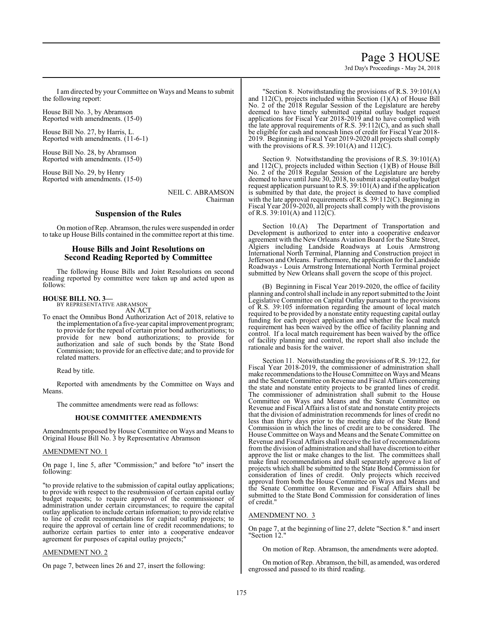Page 3 HOUSE

3rd Day's Proceedings - May 24, 2018

I am directed by your Committee on Ways and Means to submit the following report:

House Bill No. 3, by Abramson Reported with amendments. (15-0)

House Bill No. 27, by Harris, L. Reported with amendments. (11-6-1)

House Bill No. 28, by Abramson Reported with amendments. (15-0)

House Bill No. 29, by Henry Reported with amendments. (15-0)

> NEIL C. ABRAMSON Chairman

#### **Suspension of the Rules**

On motion ofRep. Abramson, the rules were suspended in order to take up House Bills contained in the committee report at this time.

### **House Bills and Joint Resolutions on Second Reading Reported by Committee**

The following House Bills and Joint Resolutions on second reading reported by committee were taken up and acted upon as follows:

#### **HOUSE BILL NO. 3—**

BY REPRESENTATIVE ABRAMSON AN ACT

To enact the Omnibus Bond Authorization Act of 2018, relative to the implementation of a five-year capital improvement program; to provide for the repeal of certain prior bond authorizations; to provide for new bond authorizations; to provide for authorization and sale of such bonds by the State Bond Commission; to provide for an effective date; and to provide for related matters.

Read by title.

Reported with amendments by the Committee on Ways and Means.

The committee amendments were read as follows:

#### **HOUSE COMMITTEE AMENDMENTS**

Amendments proposed by House Committee on Ways and Means to Original House Bill No. 3 by Representative Abramson

#### AMENDMENT NO. 1

On page 1, line 5, after "Commission;" and before "to" insert the following:

"to provide relative to the submission of capital outlay applications; to provide with respect to the resubmission of certain capital outlay budget requests; to require approval of the commissioner of administration under certain circumstances; to require the capital outlay application to include certain information; to provide relative to line of credit recommendations for capital outlay projects; to require the approval of certain line of credit recommendations; to authorize certain parties to enter into a cooperative endeavor agreement for purposes of capital outlay projects;

#### AMENDMENT NO. 2

On page 7, between lines 26 and 27, insert the following:

"Section 8. Notwithstanding the provisions of R.S. 39:101(A) and 112(C), projects included within Section (1)(A) of House Bill No. 2 of the 2018 Regular Session of the Legislature are hereby deemed to have timely submitted capital outlay budget request applications for Fiscal Year 2018-2019 and to have complied with the late approval requirements of R.S.  $39:112(C)$ , and as such shall be eligible for cash and noncash lines of credit for Fiscal Year 2018- 2019. Beginning in Fiscal Year 2019-2020 all projects shall comply with the provisions of R.S. 39:101(A) and  $112^{\circ}$ .

Section 9. Notwithstanding the provisions of R.S. 39:101(A) and 112(C), projects included within Section (1)(B) of House Bill No. 2 of the 2018 Regular Session of the Legislature are hereby deemed to have until June 30, 2018, to submit a capital outlay budget request application pursuant to R.S. 39:101(A) and if the application is submitted by that date, the project is deemed to have complied with the late approval requirements of R.S. 39:112(C). Beginning in Fiscal Year 2019-2020, all projects shall comply with the provisions of R.S. 39:101(A) and 112(C).

Section 10.(A) The Department of Transportation and Development is authorized to enter into a cooperative endeavor agreement with the New Orleans Aviation Board for the State Street, Algiers including Landside Roadways at Louis Armstrong International North Terminal, Planning and Construction project in Jefferson and Orleans. Furthermore, the application for the Landside Roadways - Louis Armstrong International North Terminal project submitted by New Orleans shall govern the scope of this project.

(B) Beginning in Fiscal Year 2019-2020, the office of facility planning and control shall include in any report submitted to the Joint Legislative Committee on Capital Outlay pursuant to the provisions of R.S. 39:105 information regarding the amount of local match required to be provided by a nonstate entity requesting capital outlay funding for each project application and whether the local match requirement has been waived by the office of facility planning and control. If a local match requirement has been waived by the office of facility planning and control, the report shall also include the rationale and basis for the waiver.

Section 11. Notwithstanding the provisions of R.S. 39:122, for Fiscal Year 2018-2019, the commissioner of administration shall make recommendations to the House Committee on Ways and Means and the Senate Committee on Revenue and Fiscal Affairs concerning the state and nonstate entity projects to be granted lines of credit. The commissioner of administration shall submit to the House Committee on Ways and Means and the Senate Committee on Revenue and Fiscal Affairs a list of state and nonstate entity projects that the division of administration recommends for lines of credit no less than thirty days prior to the meeting date of the State Bond Commission in which the lines of credit are to be considered. The House Committee on Ways and Means and the Senate Committee on Revenue and Fiscal Affairs shall receive the list of recommendations fromthe division of administration and shall have discretion to either approve the list or make changes to the list. The committees shall make final recommendations and shall separately approve a list of projects which shall be submitted to the State Bond Commission for consideration of lines of credit. Only projects which received approval from both the House Committee on Ways and Means and the Senate Committee on Revenue and Fiscal Affairs shall be submitted to the State Bond Commission for consideration of lines of credit."

#### AMENDMENT NO. 3

On page 7, at the beginning of line 27, delete "Section 8." and insert "Section 12."

On motion of Rep. Abramson, the amendments were adopted.

On motion of Rep. Abramson, the bill, as amended, was ordered engrossed and passed to its third reading.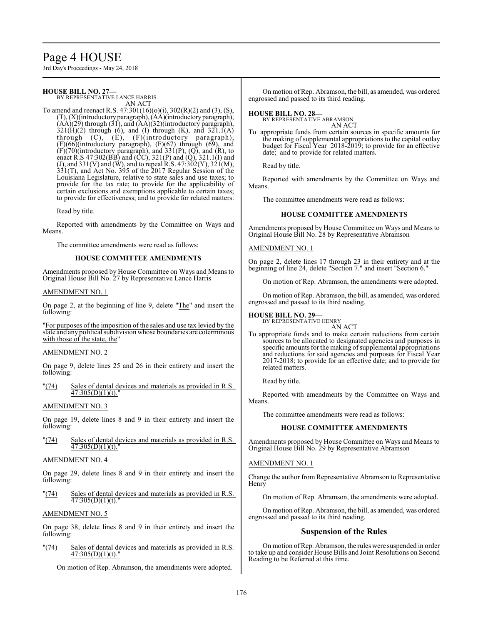# Page 4 HOUSE

3rd Day's Proceedings - May 24, 2018

#### **HOUSE BILL NO. 27—** BY REPRESENTATIVE LANCE HARRIS

AN ACT

To amend and reenact R.S. 47:301(16)(o)(i), 302(R)(2) and (3), (S), (T), (X)(introductory paragraph), (AA)(introductoryparagraph),  $(AA)(29)$  through  $(31)$ , and  $(AA)(32)$ (introductory paragraph),  $321(H)(2)$  through (6), and (I) through (K), and  $321.1(A)$ through (C), (E), (F)(introductory paragraph), (F)(66)(introductory paragraph), (F)(67) through (69), and  $(F)(70)$ (introductory paragraph), and  $331(P)$ ,  $(Q)$ , and  $(R)$ , to enact R.S 47:302(BB) and (CC), 321(P) and (Q), 321.1(I) and (J), and 331(V) and (W), and to repeal R.S. 47:302(Y), 321(M),  $331(T)$ , and Act No. 395 of the 2017 Regular Session of the Louisiana Legislature, relative to state sales and use taxes; to provide for the tax rate; to provide for the applicability of certain exclusions and exemptions applicable to certain taxes; to provide for effectiveness; and to provide for related matters.

Read by title.

Reported with amendments by the Committee on Ways and Means.

The committee amendments were read as follows:

#### **HOUSE COMMITTEE AMENDMENTS**

Amendments proposed by House Committee on Ways and Means to Original House Bill No. 27 by Representative Lance Harris

#### AMENDMENT NO. 1

On page 2, at the beginning of line 9, delete "The" and insert the following:

"For purposes of the imposition of the sales and use tax levied by the state and any political subdivision whose boundaries are coterminous with those of the state, the'

#### AMENDMENT NO. 2

On page 9, delete lines 25 and 26 in their entirety and insert the following:

"(74) Sales of dental devices and materials as provided in R.S.  $47:305(D)(1)(t)$ ."

#### AMENDMENT NO. 3

On page 19, delete lines 8 and 9 in their entirety and insert the following:

"(74) Sales of dental devices and materials as provided in R.S. 47:305(D)(1)(t)."

#### AMENDMENT NO. 4

On page 29, delete lines 8 and 9 in their entirety and insert the following:

"(74) Sales of dental devices and materials as provided in R.S.  $47:305(D)(1)(t)$ .

#### AMENDMENT NO. 5

On page 38, delete lines 8 and 9 in their entirety and insert the following:

"(74) Sales of dental devices and materials as provided in R.S. 47:305(D)(1)(t)."

On motion of Rep. Abramson, the amendments were adopted.

On motion ofRep. Abramson, the bill, as amended, was ordered engrossed and passed to its third reading.

## **HOUSE BILL NO. 28—** BY REPRESENTATIVE ABRAMSON

AN ACT

To appropriate funds from certain sources in specific amounts for the making of supplemental appropriations to the capital outlay budget for Fiscal Year 2018-2019; to provide for an effective date; and to provide for related matters.

Read by title.

Reported with amendments by the Committee on Ways and Means.

The committee amendments were read as follows:

#### **HOUSE COMMITTEE AMENDMENTS**

Amendments proposed by House Committee on Ways and Means to Original House Bill No. 28 by Representative Abramson

#### AMENDMENT NO. 1

On page 2, delete lines 17 through 23 in their entirety and at the beginning of line 24, delete "Section 7." and insert "Section 6."

On motion of Rep. Abramson, the amendments were adopted.

On motion ofRep. Abramson, the bill, as amended, was ordered engrossed and passed to its third reading.

**HOUSE BILL NO. 29—**

BY REPRESENTATIVE HENRY AN ACT

To appropriate funds and to make certain reductions from certain sources to be allocated to designated agencies and purposes in specific amounts for the making of supplemental appropriations and reductions for said agencies and purposes for Fiscal Year 2017-2018; to provide for an effective date; and to provide for related matters.

Read by title.

Reported with amendments by the Committee on Ways and Means.

The committee amendments were read as follows:

#### **HOUSE COMMITTEE AMENDMENTS**

Amendments proposed by House Committee on Ways and Means to Original House Bill No. 29 by Representative Abramson

#### AMENDMENT NO. 1

Change the author from Representative Abramson to Representative Henry

On motion of Rep. Abramson, the amendments were adopted.

On motion ofRep. Abramson, the bill, as amended, was ordered engrossed and passed to its third reading.

#### **Suspension of the Rules**

On motion ofRep. Abramson, the rules were suspended in order to take up and consider House Bills and Joint Resolutions on Second Reading to be Referred at this time.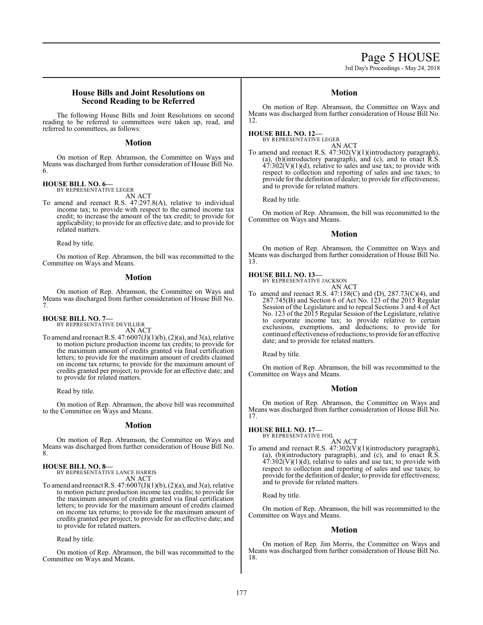# Page 5 HOUSE

3rd Day's Proceedings - May 24, 2018

#### **House Bills and Joint Resolutions on Second Reading to be Referred**

The following House Bills and Joint Resolutions on second reading to be referred to committees were taken up, read, and referred to committees, as follows:

#### **Motion**

On motion of Rep. Abramson, the Committee on Ways and Means was discharged from further consideration of House Bill No. 6.

#### **HOUSE BILL NO. 6—**

BY REPRESENTATIVE LEGER AN ACT

To amend and reenact R.S. 47:297.8(A), relative to individual income tax; to provide with respect to the earned income tax credit; to increase the amount of the tax credit; to provide for applicability; to provide for an effective date; and to provide for related matters.

Read by title.

On motion of Rep. Abramson, the bill was recommitted to the Committee on Ways and Means.

#### **Motion**

On motion of Rep. Abramson, the Committee on Ways and Means was discharged from further consideration of House Bill No. 7.

**HOUSE BILL NO. 7—**

BY REPRESENTATIVE DEVILLIER AN ACT

To amend and reenact R.S.  $47:6007(J)(1)(b)$ ,  $(2)(a)$ , and  $3(a)$ , relative to motion picture production income tax credits; to provide for the maximum amount of credits granted via final certification letters; to provide for the maximum amount of credits claimed on income tax returns; to provide for the maximum amount of credits granted per project; to provide for an effective date; and to provide for related matters.

Read by title.

On motion of Rep. Abramson, the above bill was recommitted to the Committee on Ways and Means.

#### **Motion**

On motion of Rep. Abramson, the Committee on Ways and Means was discharged from further consideration of House Bill No. 8.

#### **HOUSE BILL NO. 8—**

BY REPRESENTATIVE LANCE HARRIS AN ACT

To amend and reenact R.S.  $47:6007(J)(1)(b)$ ,  $(2)(a)$ , and  $3(a)$ , relative to motion picture production income tax credits; to provide for the maximum amount of credits granted via final certification letters; to provide for the maximum amount of credits claimed on income tax returns; to provide for the maximum amount of credits granted per project; to provide for an effective date; and to provide for related matters.

Read by title.

On motion of Rep. Abramson, the bill was recommitted to the Committee on Ways and Means.

### **Motion**

On motion of Rep. Abramson, the Committee on Ways and Means was discharged from further consideration of House Bill No. 12.

**HOUSE BILL NO. 12—** BY REPRESENTATIVE LEGER

AN ACT To amend and reenact R.S. 47:302(V)(1)(introductory paragraph), (a), (b)(introductory paragraph), and (c), and to enact R.S.  $47:302(V)(1)(d)$ , relative to sales and use tax; to provide with respect to collection and reporting of sales and use taxes; to provide for the definition of dealer; to provide for effectiveness; and to provide for related matters.

Read by title.

On motion of Rep. Abramson, the bill was recommitted to the Committee on Ways and Means.

#### **Motion**

On motion of Rep. Abramson, the Committee on Ways and Means was discharged from further consideration of House Bill No. 13.

#### **HOUSE BILL NO. 13—**

BY REPRESENTATIVE JACKSON AN ACT

To amend and reenact R.S. 47:158(C) and (D), 287.73(C)(4), and 287.745(B) and Section 6 of Act No. 123 of the 2015 Regular Session of the Legislature and to repeal Sections 3 and 4 of Act No. 123 of the 2015 Regular Session of the Legislature, relative to corporate income tax; to provide relative to certain exclusions, exemptions, and deductions; to provide for continued effectiveness ofreductions; to provide for an effective date; and to provide for related matters.

Read by title.

On motion of Rep. Abramson, the bill was recommitted to the Committee on Ways and Means.

## **Motion**

On motion of Rep. Abramson, the Committee on Ways and Means was discharged from further consideration of House Bill No. 17.

# **HOUSE BILL NO. 17—** BY REPRESENTATIVE FOIL

AN ACT To amend and reenact R.S.  $47:302(V)(1)$ (introductory paragraph), (a), (b)(introductory paragraph), and (c), and to enact R.S.  $47:302(V)(1)(d)$ , relative to sales and use tax; to provide with respect to collection and reporting of sales and use taxes; to provide for the definition of dealer; to provide for effectiveness; and to provide for related matters.

Read by title.

On motion of Rep. Abramson, the bill was recommitted to the Committee on Ways and Means.

## **Motion**

On motion of Rep. Jim Morris, the Committee on Ways and Means was discharged from further consideration of House Bill No. 18.